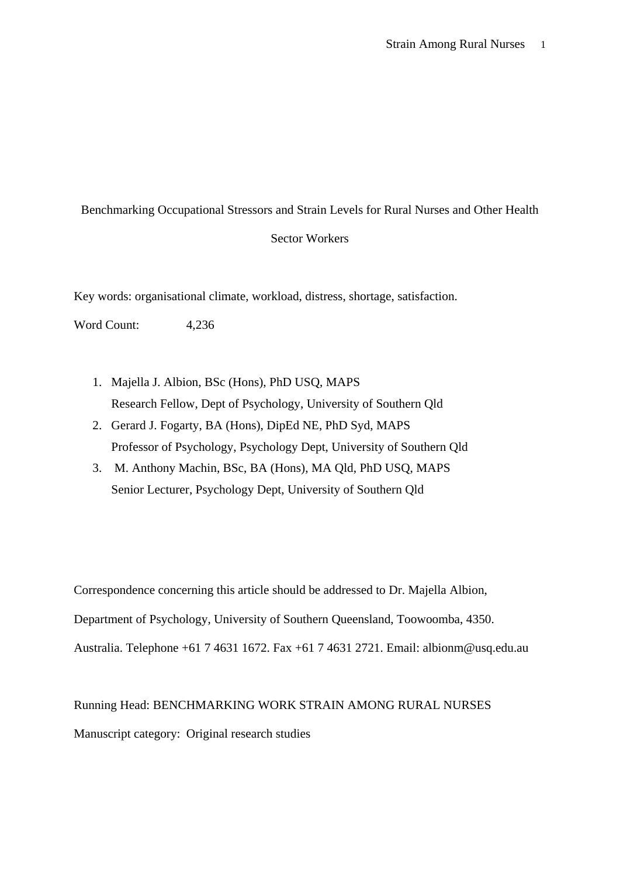### Benchmarking Occupational Stressors and Strain Levels for Rural Nurses and Other Health

# Sector Workers

Key words: organisational climate, workload, distress, shortage, satisfaction.

Word Count: 4,236

- 1. Majella J. Albion, BSc (Hons), PhD USQ, MAPS Research Fellow, Dept of Psychology, University of Southern Qld
- 2. Gerard J. Fogarty, BA (Hons), DipEd NE, PhD Syd, MAPS Professor of Psychology, Psychology Dept, University of Southern Qld
- 3. M. Anthony Machin, BSc, BA (Hons), MA Qld, PhD USQ, MAPS Senior Lecturer, Psychology Dept, University of Southern Qld

Correspondence concerning this article should be addressed to Dr. Majella Albion, Department of Psychology, University of Southern Queensland, Toowoomba, 4350. Australia. Telephone +61 7 4631 1672. Fax +61 7 4631 2721. Email: albionm@usq.edu.au

Running Head: BENCHMARKING WORK STRAIN AMONG RURAL NURSES Manuscript category: Original research studies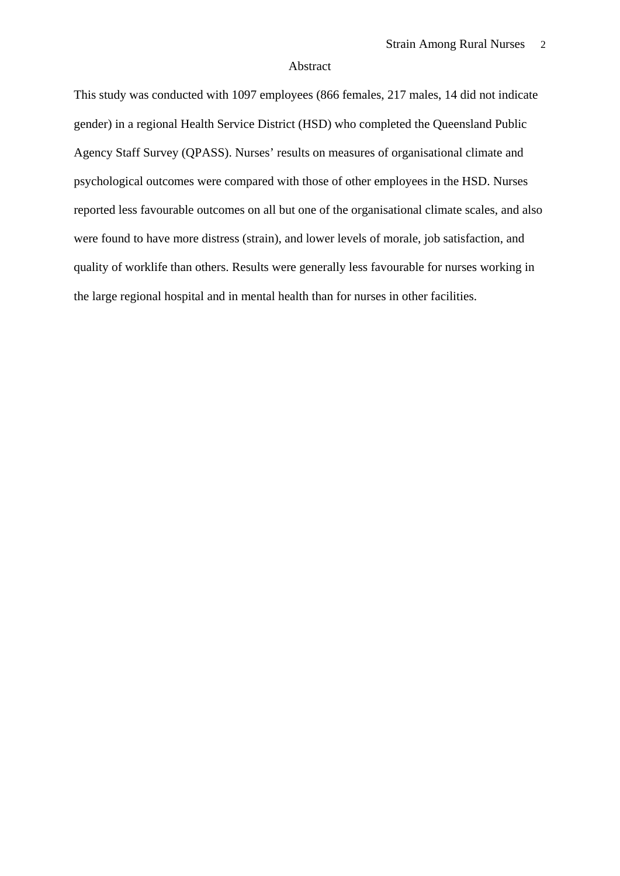### Abstract

This study was conducted with 1097 employees (866 females, 217 males, 14 did not indicate gender) in a regional Health Service District (HSD) who completed the Queensland Public Agency Staff Survey (QPASS). Nurses' results on measures of organisational climate and psychological outcomes were compared with those of other employees in the HSD. Nurses reported less favourable outcomes on all but one of the organisational climate scales, and also were found to have more distress (strain), and lower levels of morale, job satisfaction, and quality of worklife than others. Results were generally less favourable for nurses working in the large regional hospital and in mental health than for nurses in other facilities.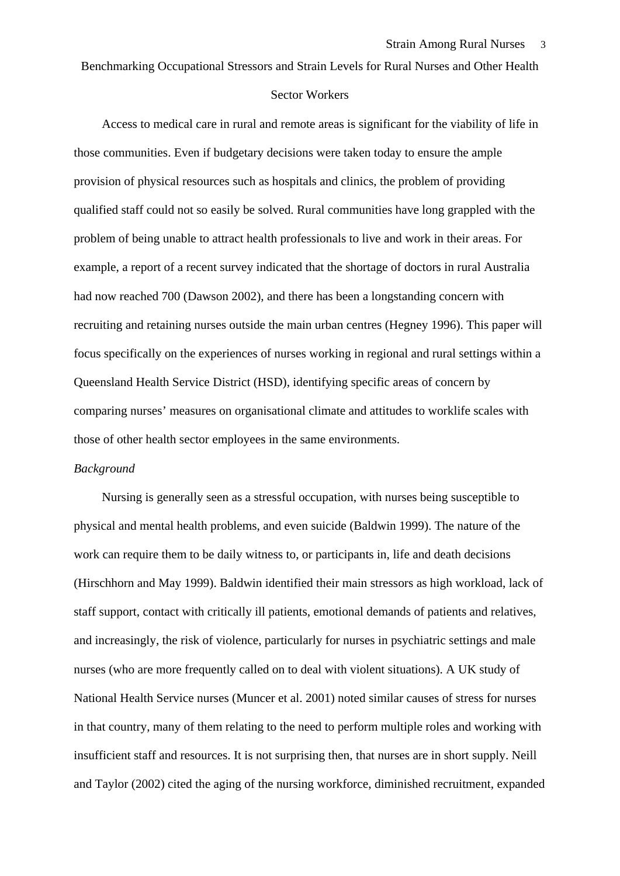Benchmarking Occupational Stressors and Strain Levels for Rural Nurses and Other Health

### Sector Workers

Access to medical care in rural and remote areas is significant for the viability of life in those communities. Even if budgetary decisions were taken today to ensure the ample provision of physical resources such as hospitals and clinics, the problem of providing qualified staff could not so easily be solved. Rural communities have long grappled with the problem of being unable to attract health professionals to live and work in their areas. For example, a report of a recent survey indicated that the shortage of doctors in rural Australia had now reached 700 (Dawson 2002), and there has been a longstanding concern with recruiting and retaining nurses outside the main urban centres (Hegney 1996). This paper will focus specifically on the experiences of nurses working in regional and rural settings within a Queensland Health Service District (HSD), identifying specific areas of concern by comparing nurses' measures on organisational climate and attitudes to worklife scales with those of other health sector employees in the same environments.

### *Background*

Nursing is generally seen as a stressful occupation, with nurses being susceptible to physical and mental health problems, and even suicide (Baldwin 1999). The nature of the work can require them to be daily witness to, or participants in, life and death decisions (Hirschhorn and May 1999). Baldwin identified their main stressors as high workload, lack of staff support, contact with critically ill patients, emotional demands of patients and relatives, and increasingly, the risk of violence, particularly for nurses in psychiatric settings and male nurses (who are more frequently called on to deal with violent situations). A UK study of National Health Service nurses (Muncer et al. 2001) noted similar causes of stress for nurses in that country, many of them relating to the need to perform multiple roles and working with insufficient staff and resources. It is not surprising then, that nurses are in short supply. Neill and Taylor (2002) cited the aging of the nursing workforce, diminished recruitment, expanded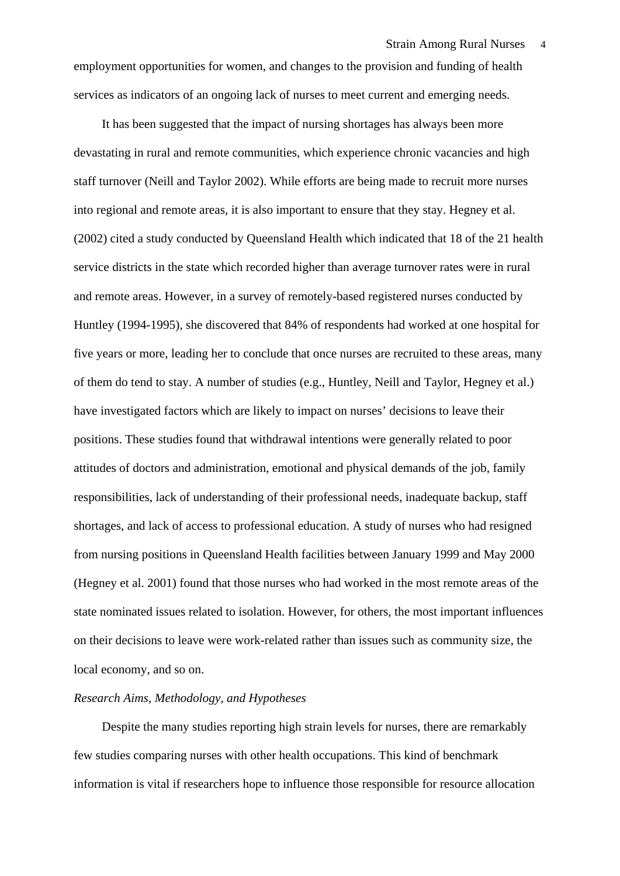Strain Among Rural Nurses 4

employment opportunities for women, and changes to the provision and funding of health services as indicators of an ongoing lack of nurses to meet current and emerging needs.

It has been suggested that the impact of nursing shortages has always been more devastating in rural and remote communities, which experience chronic vacancies and high staff turnover (Neill and Taylor 2002). While efforts are being made to recruit more nurses into regional and remote areas, it is also important to ensure that they stay. Hegney et al. (2002) cited a study conducted by Queensland Health which indicated that 18 of the 21 health service districts in the state which recorded higher than average turnover rates were in rural and remote areas. However, in a survey of remotely-based registered nurses conducted by Huntley (1994-1995), she discovered that 84% of respondents had worked at one hospital for five years or more, leading her to conclude that once nurses are recruited to these areas, many of them do tend to stay. A number of studies (e.g., Huntley, Neill and Taylor, Hegney et al.) have investigated factors which are likely to impact on nurses' decisions to leave their positions. These studies found that withdrawal intentions were generally related to poor attitudes of doctors and administration, emotional and physical demands of the job, family responsibilities, lack of understanding of their professional needs, inadequate backup, staff shortages, and lack of access to professional education. A study of nurses who had resigned from nursing positions in Queensland Health facilities between January 1999 and May 2000 (Hegney et al. 2001) found that those nurses who had worked in the most remote areas of the state nominated issues related to isolation. However, for others, the most important influences on their decisions to leave were work-related rather than issues such as community size, the local economy, and so on.

### *Research Aims, Methodology, and Hypotheses*

Despite the many studies reporting high strain levels for nurses, there are remarkably few studies comparing nurses with other health occupations. This kind of benchmark information is vital if researchers hope to influence those responsible for resource allocation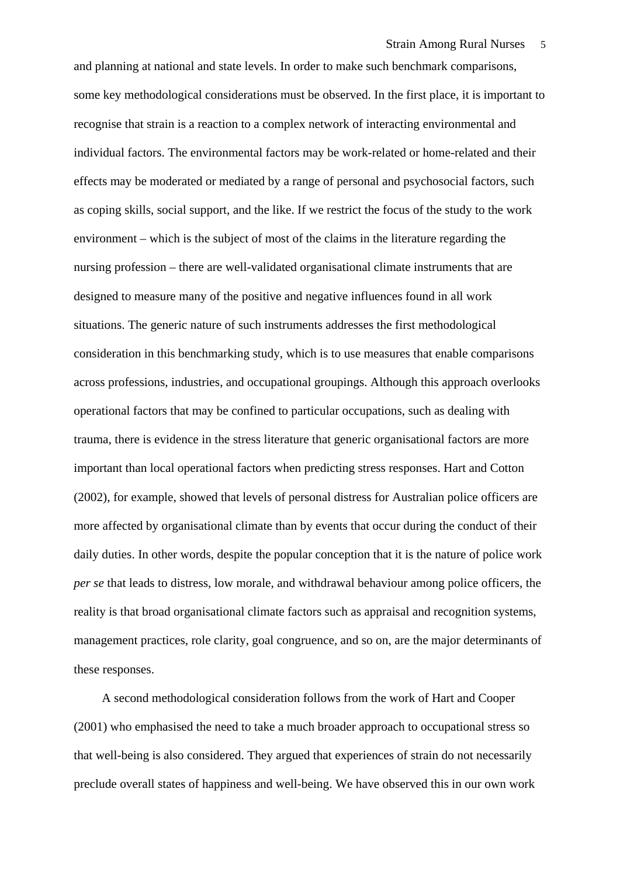and planning at national and state levels. In order to make such benchmark comparisons, some key methodological considerations must be observed. In the first place, it is important to recognise that strain is a reaction to a complex network of interacting environmental and individual factors. The environmental factors may be work-related or home-related and their effects may be moderated or mediated by a range of personal and psychosocial factors, such as coping skills, social support, and the like. If we restrict the focus of the study to the work environment – which is the subject of most of the claims in the literature regarding the nursing profession – there are well-validated organisational climate instruments that are designed to measure many of the positive and negative influences found in all work situations. The generic nature of such instruments addresses the first methodological consideration in this benchmarking study, which is to use measures that enable comparisons across professions, industries, and occupational groupings. Although this approach overlooks operational factors that may be confined to particular occupations, such as dealing with trauma, there is evidence in the stress literature that generic organisational factors are more important than local operational factors when predicting stress responses. Hart and Cotton (2002), for example, showed that levels of personal distress for Australian police officers are more affected by organisational climate than by events that occur during the conduct of their daily duties. In other words, despite the popular conception that it is the nature of police work *per se* that leads to distress, low morale, and withdrawal behaviour among police officers, the reality is that broad organisational climate factors such as appraisal and recognition systems, management practices, role clarity, goal congruence, and so on, are the major determinants of these responses.

A second methodological consideration follows from the work of Hart and Cooper (2001) who emphasised the need to take a much broader approach to occupational stress so that well-being is also considered. They argued that experiences of strain do not necessarily preclude overall states of happiness and well-being. We have observed this in our own work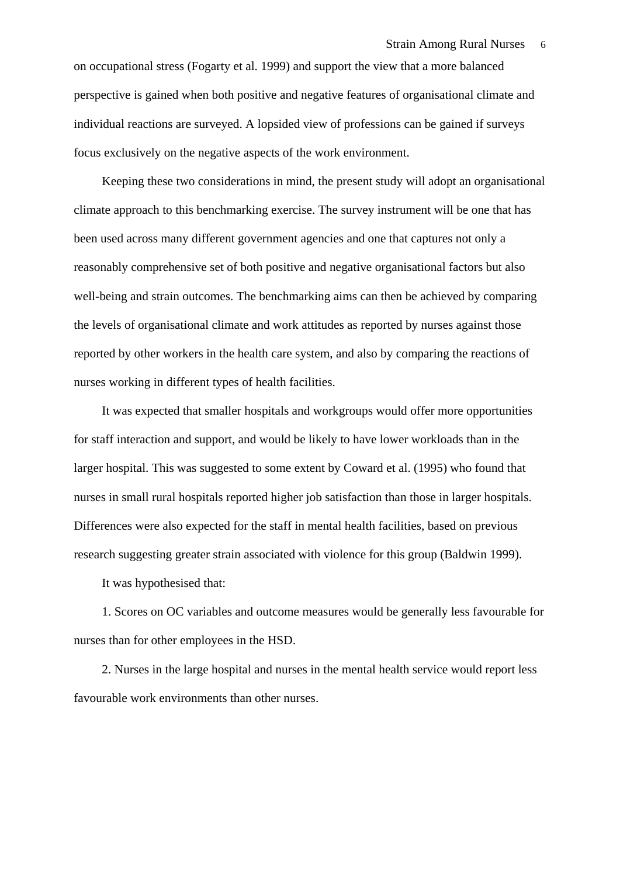on occupational stress (Fogarty et al. 1999) and support the view that a more balanced perspective is gained when both positive and negative features of organisational climate and individual reactions are surveyed. A lopsided view of professions can be gained if surveys focus exclusively on the negative aspects of the work environment.

Keeping these two considerations in mind, the present study will adopt an organisational climate approach to this benchmarking exercise. The survey instrument will be one that has been used across many different government agencies and one that captures not only a reasonably comprehensive set of both positive and negative organisational factors but also well-being and strain outcomes. The benchmarking aims can then be achieved by comparing the levels of organisational climate and work attitudes as reported by nurses against those reported by other workers in the health care system, and also by comparing the reactions of nurses working in different types of health facilities.

It was expected that smaller hospitals and workgroups would offer more opportunities for staff interaction and support, and would be likely to have lower workloads than in the larger hospital. This was suggested to some extent by Coward et al. (1995) who found that nurses in small rural hospitals reported higher job satisfaction than those in larger hospitals. Differences were also expected for the staff in mental health facilities, based on previous research suggesting greater strain associated with violence for this group (Baldwin 1999).

It was hypothesised that:

1. Scores on OC variables and outcome measures would be generally less favourable for nurses than for other employees in the HSD.

2. Nurses in the large hospital and nurses in the mental health service would report less favourable work environments than other nurses.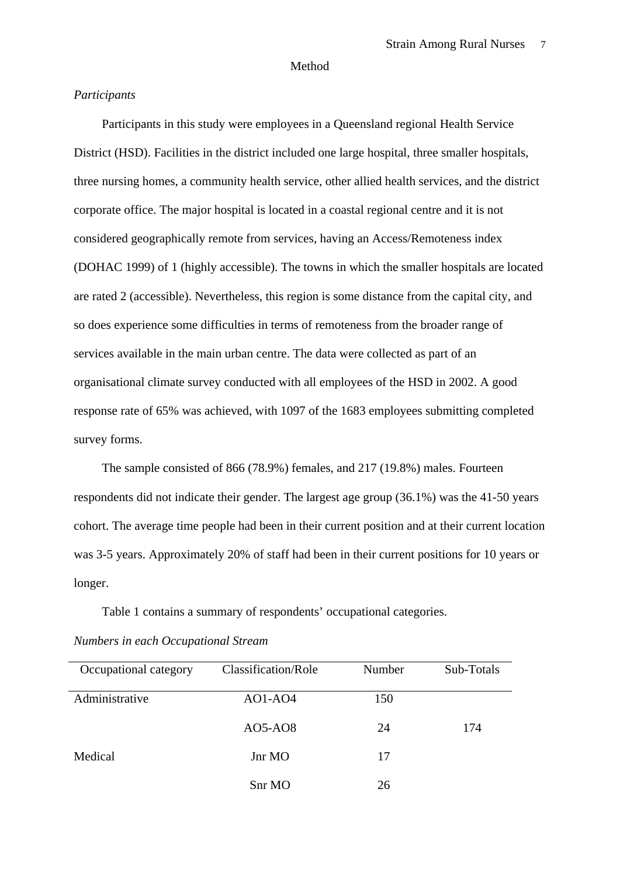### Method

#### *Participants*

Participants in this study were employees in a Queensland regional Health Service District (HSD). Facilities in the district included one large hospital, three smaller hospitals, three nursing homes, a community health service, other allied health services, and the district corporate office. The major hospital is located in a coastal regional centre and it is not considered geographically remote from services, having an Access/Remoteness index (DOHAC 1999) of 1 (highly accessible). The towns in which the smaller hospitals are located are rated 2 (accessible). Nevertheless, this region is some distance from the capital city, and so does experience some difficulties in terms of remoteness from the broader range of services available in the main urban centre. The data were collected as part of an organisational climate survey conducted with all employees of the HSD in 2002. A good response rate of 65% was achieved, with 1097 of the 1683 employees submitting completed survey forms.

The sample consisted of 866 (78.9%) females, and 217 (19.8%) males. Fourteen respondents did not indicate their gender. The largest age group (36.1%) was the 41-50 years cohort. The average time people had been in their current position and at their current location was 3-5 years. Approximately 20% of staff had been in their current positions for 10 years or longer.

Table 1 contains a summary of respondents' occupational categories.

| Occupational category | Classification/Role | Number | Sub-Totals |
|-----------------------|---------------------|--------|------------|
| Administrative        | $AO1-AO4$           | 150    |            |
|                       | $AO5-AO8$           | 24     | 174        |
| Medical               | Jnr MO              | 17     |            |
|                       | Snr MO              | 26     |            |

### *Numbers in each Occupational Stream*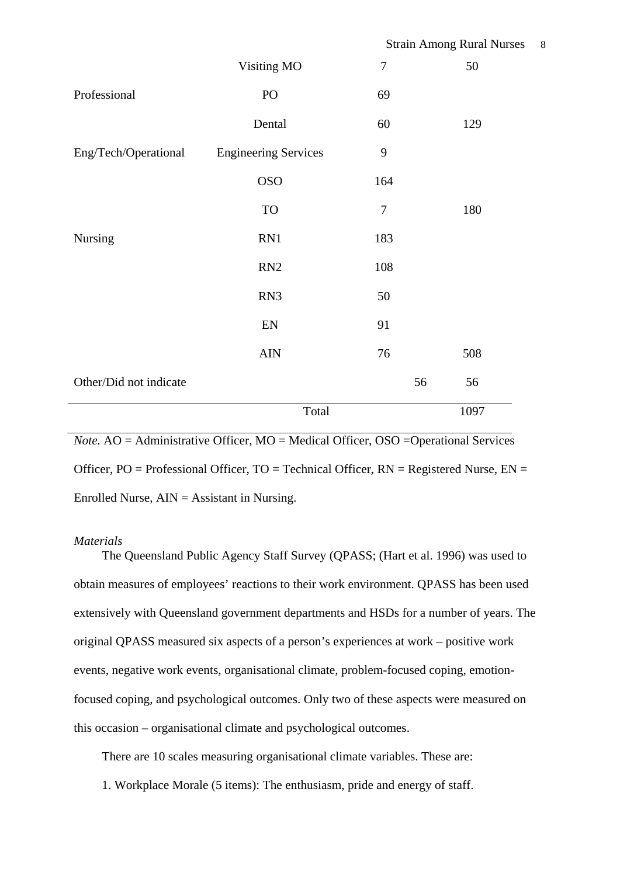|                        |                             |                | <b>Strain Among Rural Nurses</b> |  |
|------------------------|-----------------------------|----------------|----------------------------------|--|
|                        | <b>Visiting MO</b>          | $\tau$         | 50                               |  |
| Professional           | PO                          | 69             |                                  |  |
|                        | Dental                      | 60             | 129                              |  |
| Eng/Tech/Operational   | <b>Engineering Services</b> | 9              |                                  |  |
|                        | <b>OSO</b>                  | 164            |                                  |  |
|                        | <b>TO</b>                   | $\overline{7}$ | 180                              |  |
| Nursing                | RN1                         | 183            |                                  |  |
|                        | RN2                         | 108            |                                  |  |
|                        | RN3                         | 50             |                                  |  |
|                        | ${\rm EN}$                  | 91             |                                  |  |
|                        | <b>AIN</b>                  | 76             | 508                              |  |
| Other/Did not indicate |                             |                | 56<br>56                         |  |
|                        | Total                       |                | 1097                             |  |

*Note.* AO = Administrative Officer, MO = Medical Officer, OSO = Operational Services Officer,  $PO = Professional$  Officer,  $TO = Technical$  Officer,  $RN = Registered$  Nurse,  $EN =$ Enrolled Nurse, AIN = Assistant in Nursing.

### *Materials*

The Queensland Public Agency Staff Survey (QPASS; (Hart et al. 1996) was used to obtain measures of employees' reactions to their work environment. QPASS has been used extensively with Queensland government departments and HSDs for a number of years. The original QPASS measured six aspects of a person's experiences at work – positive work events, negative work events, organisational climate, problem-focused coping, emotionfocused coping, and psychological outcomes. Only two of these aspects were measured on this occasion – organisational climate and psychological outcomes.

There are 10 scales measuring organisational climate variables. These are:

1. Workplace Morale (5 items): The enthusiasm, pride and energy of staff.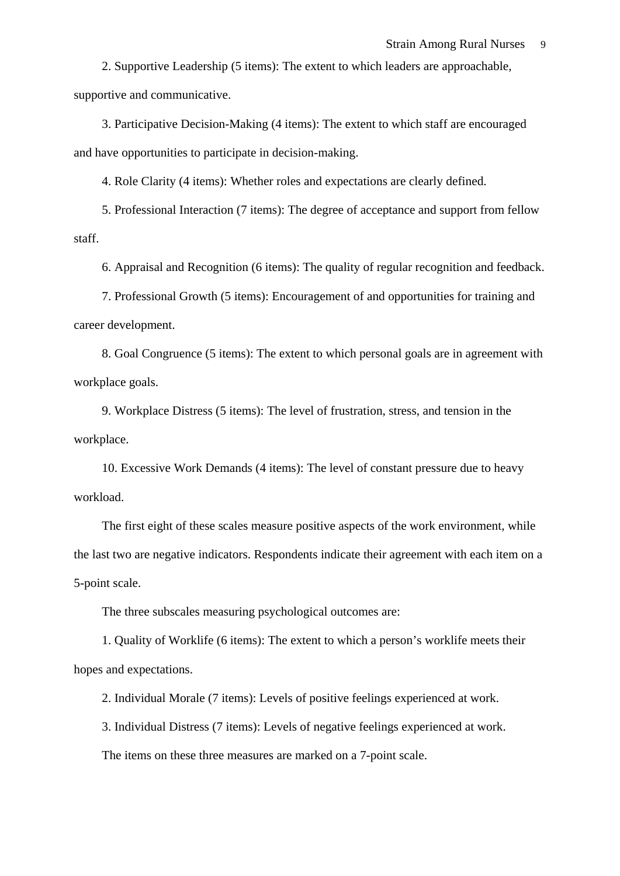2. Supportive Leadership (5 items): The extent to which leaders are approachable, supportive and communicative.

3. Participative Decision-Making (4 items): The extent to which staff are encouraged and have opportunities to participate in decision-making.

4. Role Clarity (4 items): Whether roles and expectations are clearly defined.

5. Professional Interaction (7 items): The degree of acceptance and support from fellow staff.

6. Appraisal and Recognition (6 items): The quality of regular recognition and feedback.

7. Professional Growth (5 items): Encouragement of and opportunities for training and career development.

8. Goal Congruence (5 items): The extent to which personal goals are in agreement with workplace goals.

9. Workplace Distress (5 items): The level of frustration, stress, and tension in the workplace.

10. Excessive Work Demands (4 items): The level of constant pressure due to heavy workload.

The first eight of these scales measure positive aspects of the work environment, while the last two are negative indicators. Respondents indicate their agreement with each item on a 5-point scale.

The three subscales measuring psychological outcomes are:

1. Quality of Worklife (6 items): The extent to which a person's worklife meets their hopes and expectations.

2. Individual Morale (7 items): Levels of positive feelings experienced at work.

3. Individual Distress (7 items): Levels of negative feelings experienced at work.

The items on these three measures are marked on a 7-point scale.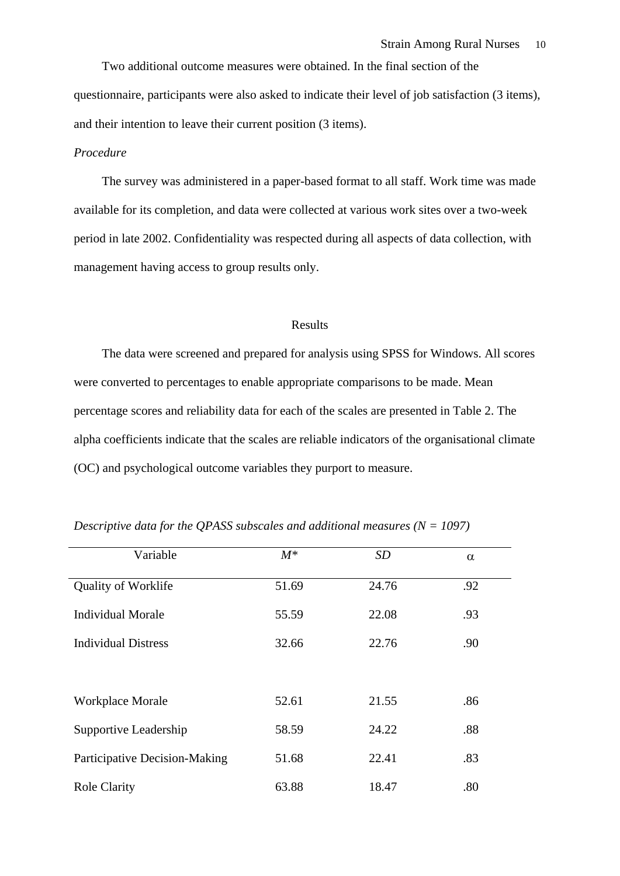Two additional outcome measures were obtained. In the final section of the questionnaire, participants were also asked to indicate their level of job satisfaction (3 items), and their intention to leave their current position (3 items).

### *Procedure*

The survey was administered in a paper-based format to all staff. Work time was made available for its completion, and data were collected at various work sites over a two-week period in late 2002. Confidentiality was respected during all aspects of data collection, with management having access to group results only.

### Results

The data were screened and prepared for analysis using SPSS for Windows. All scores were converted to percentages to enable appropriate comparisons to be made. Mean percentage scores and reliability data for each of the scales are presented in Table 2. The alpha coefficients indicate that the scales are reliable indicators of the organisational climate (OC) and psychological outcome variables they purport to measure.

| Variable                      | $M^*$ | <i>SD</i> | $\alpha$ |
|-------------------------------|-------|-----------|----------|
| <b>Quality of Worklife</b>    | 51.69 | 24.76     | .92      |
| <b>Individual Morale</b>      | 55.59 | 22.08     | .93      |
| <b>Individual Distress</b>    | 32.66 | 22.76     | .90      |
|                               |       |           |          |
| <b>Workplace Morale</b>       | 52.61 | 21.55     | .86      |
| Supportive Leadership         | 58.59 | 24.22     | .88      |
| Participative Decision-Making | 51.68 | 22.41     | .83      |
| <b>Role Clarity</b>           | 63.88 | 18.47     | .80      |

*Descriptive data for the OPASS subscales and additional measures (* $N = 1097$ *)*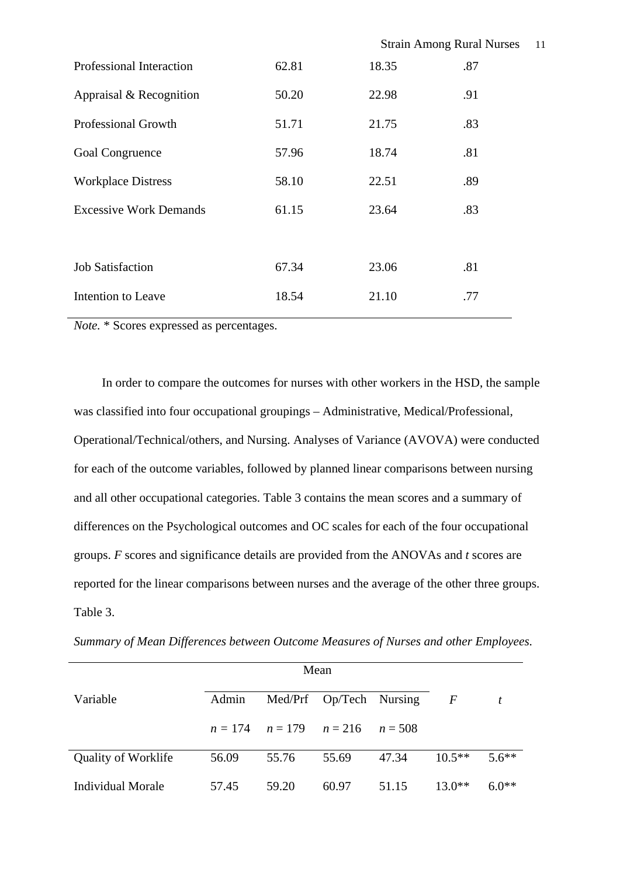|                               |       | <b>Strain Among Rural Nurses</b> | 11  |
|-------------------------------|-------|----------------------------------|-----|
| Professional Interaction      | 62.81 | 18.35                            | .87 |
| Appraisal & Recognition       | 50.20 | 22.98                            | .91 |
| Professional Growth           | 51.71 | 21.75                            | .83 |
| Goal Congruence               | 57.96 | 18.74                            | .81 |
| <b>Workplace Distress</b>     | 58.10 | 22.51                            | .89 |
| <b>Excessive Work Demands</b> | 61.15 | 23.64                            | .83 |
|                               |       |                                  |     |
| <b>Job Satisfaction</b>       | 67.34 | 23.06                            | .81 |
| Intention to Leave            | 18.54 | 21.10                            | .77 |
|                               |       |                                  |     |

*Note.* \* Scores expressed as percentages.

In order to compare the outcomes for nurses with other workers in the HSD, the sample was classified into four occupational groupings – Administrative, Medical/Professional, Operational/Technical/others, and Nursing. Analyses of Variance (AVOVA) were conducted for each of the outcome variables, followed by planned linear comparisons between nursing and all other occupational categories. Table 3 contains the mean scores and a summary of differences on the Psychological outcomes and OC scales for each of the four occupational groups. *F* scores and significance details are provided from the ANOVAs and *t* scores are reported for the linear comparisons between nurses and the average of the other three groups. Table 3.

|                            |       | Mean                                    |                         |       |                |          |
|----------------------------|-------|-----------------------------------------|-------------------------|-------|----------------|----------|
| Variable                   | Admin |                                         | Med/Prf Op/Tech Nursing |       | $\overline{F}$ | t        |
|                            |       | $n = 174$ $n = 179$ $n = 216$ $n = 508$ |                         |       |                |          |
| <b>Quality of Worklife</b> | 56.09 | 55.76                                   | 55.69                   | 47.34 | $10.5**$       | $5.6***$ |
| <b>Individual Morale</b>   | 57.45 | 59.20                                   | 60.97                   | 51.15 | $13.0**$       | $6.0**$  |

*Summary of Mean Differences between Outcome Measures of Nurses and other Employees.*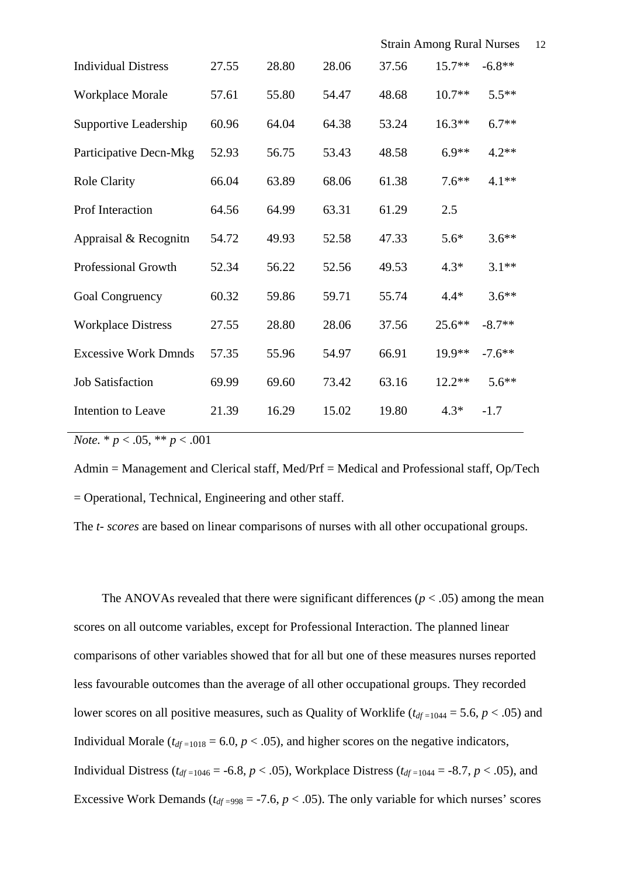|                                     |       |       |       |       | <b>Strain Among Rural Nurses</b> |          | 12 |
|-------------------------------------|-------|-------|-------|-------|----------------------------------|----------|----|
| <b>Individual Distress</b>          | 27.55 | 28.80 | 28.06 | 37.56 | $15.7**$                         | $-6.8**$ |    |
| Workplace Morale                    | 57.61 | 55.80 | 54.47 | 48.68 | $10.7**$                         | $5.5**$  |    |
| Supportive Leadership               | 60.96 | 64.04 | 64.38 | 53.24 | $16.3**$                         | $6.7**$  |    |
| Participative Decn-Mkg              | 52.93 | 56.75 | 53.43 | 48.58 | $6.9**$                          | $4.2**$  |    |
| <b>Role Clarity</b>                 | 66.04 | 63.89 | 68.06 | 61.38 | $7.6***$                         | $4.1**$  |    |
| Prof Interaction                    | 64.56 | 64.99 | 63.31 | 61.29 | 2.5                              |          |    |
| Appraisal & Recognitn               | 54.72 | 49.93 | 52.58 | 47.33 | $5.6*$                           | $3.6**$  |    |
| Professional Growth                 | 52.34 | 56.22 | 52.56 | 49.53 | $4.3*$                           | $3.1**$  |    |
| <b>Goal Congruency</b>              | 60.32 | 59.86 | 59.71 | 55.74 | $4.4*$                           | $3.6**$  |    |
| <b>Workplace Distress</b>           | 27.55 | 28.80 | 28.06 | 37.56 | 25.6**                           | $-8.7**$ |    |
| <b>Excessive Work Dmnds</b>         | 57.35 | 55.96 | 54.97 | 66.91 | 19.9**                           | $-7.6**$ |    |
| <b>Job Satisfaction</b>             | 69.99 | 69.60 | 73.42 | 63.16 | $12.2**$                         | $5.6***$ |    |
| Intention to Leave                  | 21.39 | 16.29 | 15.02 | 19.80 | $4.3*$                           | $-1.7$   |    |
| $N_{obs}$ * $\sim$ 05 ** $\sim$ 001 |       |       |       |       |                                  |          |    |

*Note.* \* *p* < .05, \*\* *p* < .001

Admin = Management and Clerical staff, Med/Prf = Medical and Professional staff, Op/Tech = Operational, Technical, Engineering and other staff.

The *t- scores* are based on linear comparisons of nurses with all other occupational groups.

The ANOVAs revealed that there were significant differences ( $p < .05$ ) among the mean scores on all outcome variables, except for Professional Interaction. The planned linear comparisons of other variables showed that for all but one of these measures nurses reported less favourable outcomes than the average of all other occupational groups. They recorded lower scores on all positive measures, such as Quality of Worklife ( $t_{df=1044} = 5.6$ ,  $p < .05$ ) and Individual Morale ( $t_{df=1018} = 6.0$ ,  $p < .05$ ), and higher scores on the negative indicators, Individual Distress ( $t_{df=1046} = -6.8$ ,  $p < .05$ ), Workplace Distress ( $t_{df=1044} = -8.7$ ,  $p < .05$ ), and Excessive Work Demands ( $t_{df=998} = -7.6$ ,  $p < .05$ ). The only variable for which nurses' scores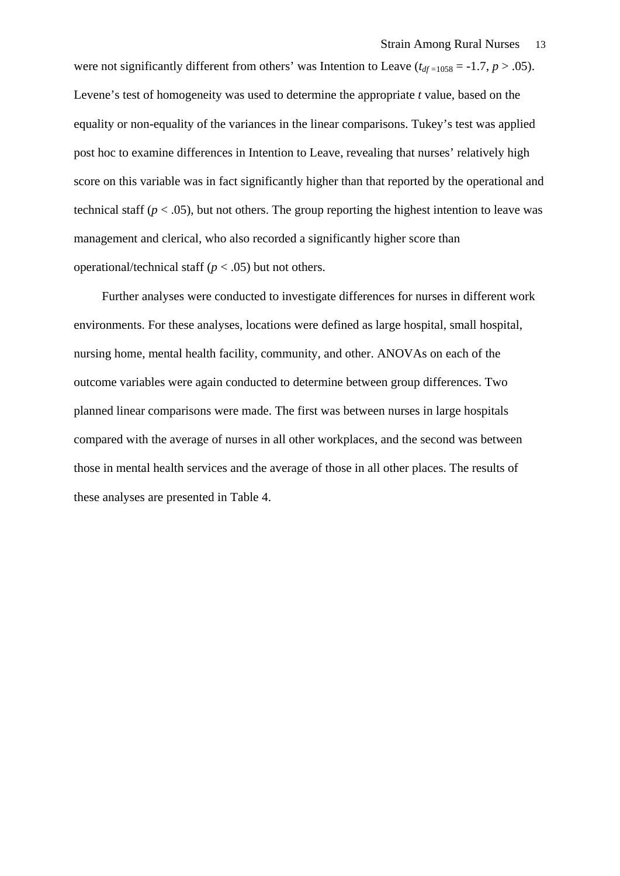were not significantly different from others' was Intention to Leave  $(t_{df} = 1058) = -1.7$ ,  $p > .05$ ). Levene's test of homogeneity was used to determine the appropriate *t* value, based on the equality or non-equality of the variances in the linear comparisons. Tukey's test was applied post hoc to examine differences in Intention to Leave, revealing that nurses' relatively high score on this variable was in fact significantly higher than that reported by the operational and technical staff  $(p < .05)$ , but not others. The group reporting the highest intention to leave was management and clerical, who also recorded a significantly higher score than operational/technical staff ( $p < .05$ ) but not others.

Further analyses were conducted to investigate differences for nurses in different work environments. For these analyses, locations were defined as large hospital, small hospital, nursing home, mental health facility, community, and other. ANOVAs on each of the outcome variables were again conducted to determine between group differences. Two planned linear comparisons were made. The first was between nurses in large hospitals compared with the average of nurses in all other workplaces, and the second was between those in mental health services and the average of those in all other places. The results of these analyses are presented in Table 4.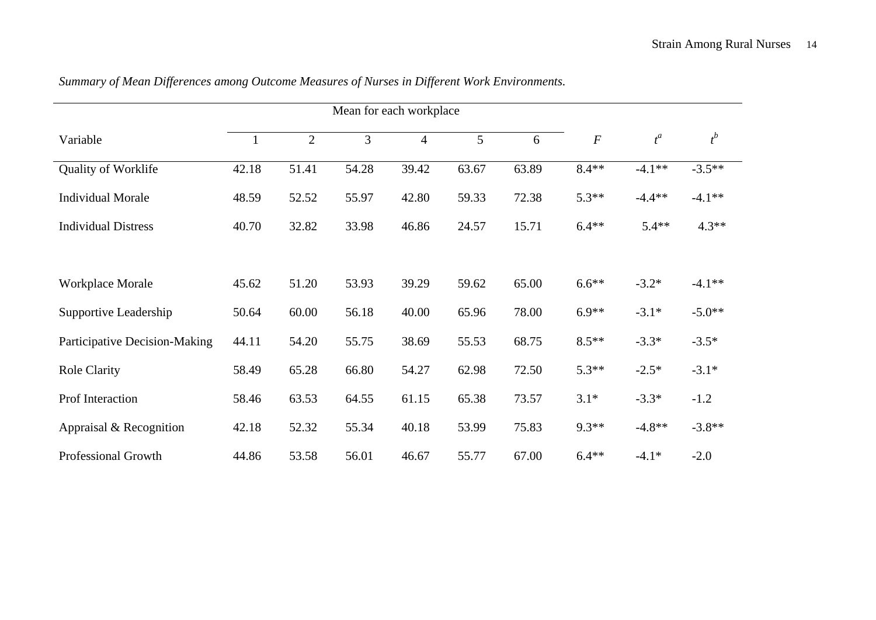|                               |       |                |       | Mean for each workplace |       |       |                |          |          |
|-------------------------------|-------|----------------|-------|-------------------------|-------|-------|----------------|----------|----------|
| Variable                      | 1     | $\overline{2}$ | 3     | $\overline{4}$          | 5     | 6     | $\overline{F}$ | $t^a$    | $t^b$    |
| Quality of Worklife           | 42.18 | 51.41          | 54.28 | 39.42                   | 63.67 | 63.89 | $8.4**$        | $-4.1**$ | $-3.5**$ |
| <b>Individual Morale</b>      | 48.59 | 52.52          | 55.97 | 42.80                   | 59.33 | 72.38 | $5.3**$        | $-4.4**$ | $-4.1**$ |
| <b>Individual Distress</b>    | 40.70 | 32.82          | 33.98 | 46.86                   | 24.57 | 15.71 | $6.4**$        | $5.4**$  | $4.3**$  |
|                               |       |                |       |                         |       |       |                |          |          |
| Workplace Morale              | 45.62 | 51.20          | 53.93 | 39.29                   | 59.62 | 65.00 | $6.6**$        | $-3.2*$  | $-4.1**$ |
| Supportive Leadership         | 50.64 | 60.00          | 56.18 | 40.00                   | 65.96 | 78.00 | $6.9**$        | $-3.1*$  | $-5.0**$ |
| Participative Decision-Making | 44.11 | 54.20          | 55.75 | 38.69                   | 55.53 | 68.75 | $8.5**$        | $-3.3*$  | $-3.5*$  |
| <b>Role Clarity</b>           | 58.49 | 65.28          | 66.80 | 54.27                   | 62.98 | 72.50 | $5.3**$        | $-2.5*$  | $-3.1*$  |
| Prof Interaction              | 58.46 | 63.53          | 64.55 | 61.15                   | 65.38 | 73.57 | $3.1*$         | $-3.3*$  | $-1.2$   |
| Appraisal & Recognition       | 42.18 | 52.32          | 55.34 | 40.18                   | 53.99 | 75.83 | $9.3**$        | $-4.8**$ | $-3.8**$ |
| Professional Growth           | 44.86 | 53.58          | 56.01 | 46.67                   | 55.77 | 67.00 | $6.4**$        | $-4.1*$  | $-2.0$   |

*Summary of Mean Differences among Outcome Measures of Nurses in Different Work Environments.*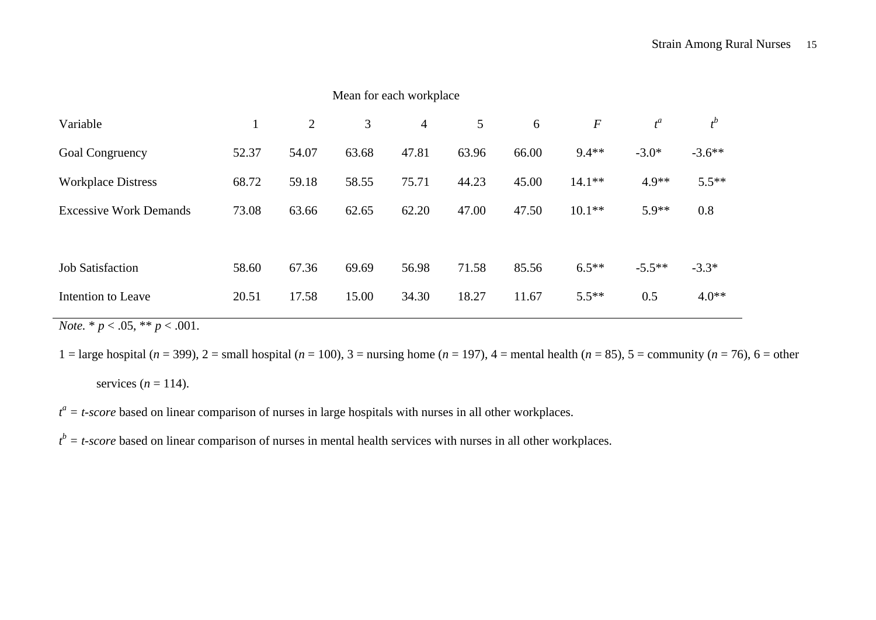| Mean for each workplace       |       |                |       |                |       |       |                  |          |          |
|-------------------------------|-------|----------------|-------|----------------|-------|-------|------------------|----------|----------|
| Variable                      |       | $\overline{2}$ | 3     | $\overline{4}$ | 5     | 6     | $\boldsymbol{F}$ | $t^a$    | $t^b$    |
| <b>Goal Congruency</b>        | 52.37 | 54.07          | 63.68 | 47.81          | 63.96 | 66.00 | $9.4**$          | $-3.0*$  | $-3.6**$ |
| <b>Workplace Distress</b>     | 68.72 | 59.18          | 58.55 | 75.71          | 44.23 | 45.00 | $14.1**$         | $4.9**$  | $5.5**$  |
| <b>Excessive Work Demands</b> | 73.08 | 63.66          | 62.65 | 62.20          | 47.00 | 47.50 | $10.1**$         | $5.9**$  | 0.8      |
| <b>Job Satisfaction</b>       | 58.60 | 67.36          | 69.69 | 56.98          | 71.58 | 85.56 | $6.5**$          | $-5.5**$ | $-3.3*$  |
| Intention to Leave            | 20.51 | 17.58          | 15.00 | 34.30          | 18.27 | 11.67 | $5.5**$          | 0.5      | $4.0**$  |
|                               |       |                |       |                |       |       |                  |          |          |

*Note.* \* *p* < .05, \*\* *p* < .001.

 $1 =$ large hospital ( $n = 399$ ),  $2 =$ small hospital ( $n = 100$ ),  $3 =$ nursing home ( $n = 197$ ),  $4 =$ mental health ( $n = 85$ ),  $5 =$ community ( $n = 76$ ),  $6 =$ other

services  $(n = 114)$ .

 $t^a = t$ -score based on linear comparison of nurses in large hospitals with nurses in all other workplaces.

 $t^b = t$ -score based on linear comparison of nurses in mental health services with nurses in all other workplaces.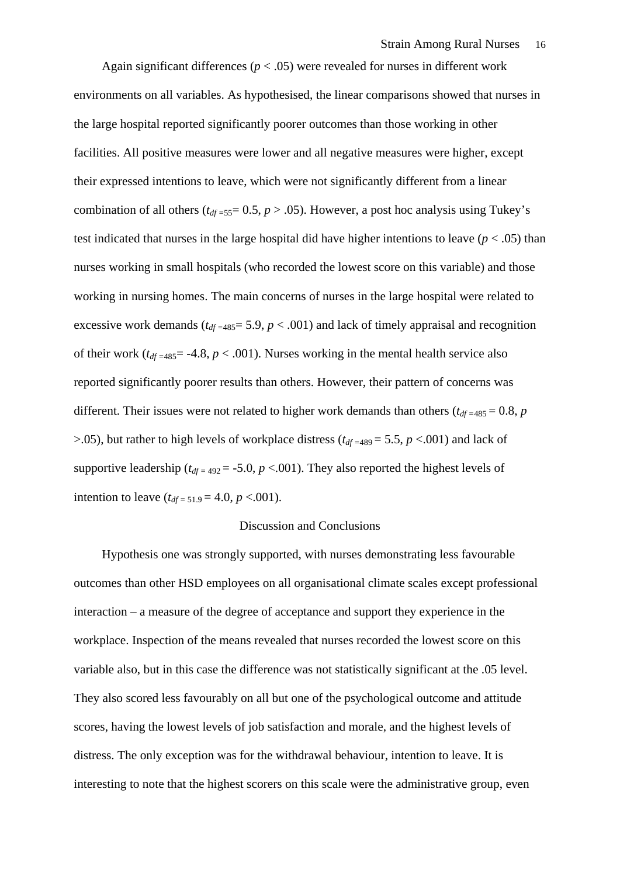Again significant differences ( $p < .05$ ) were revealed for nurses in different work environments on all variables. As hypothesised, the linear comparisons showed that nurses in the large hospital reported significantly poorer outcomes than those working in other facilities. All positive measures were lower and all negative measures were higher, except their expressed intentions to leave, which were not significantly different from a linear combination of all others ( $t_{df=55}= 0.5$ ,  $p > .05$ ). However, a post hoc analysis using Tukey's test indicated that nurses in the large hospital did have higher intentions to leave  $(p < .05)$  than nurses working in small hospitals (who recorded the lowest score on this variable) and those working in nursing homes. The main concerns of nurses in the large hospital were related to excessive work demands ( $t_{df=485}=$  5.9,  $p < .001$ ) and lack of timely appraisal and recognition of their work ( $t_{df=485}$ = -4.8,  $p < .001$ ). Nurses working in the mental health service also reported significantly poorer results than others. However, their pattern of concerns was different. Their issues were not related to higher work demands than others ( $t_{df=485}$  = 0.8, *p* >.05), but rather to high levels of workplace distress ( $t_{df=489}$  = 5.5, *p* <.001) and lack of supportive leadership ( $t_{df = 492} = -5.0$ ,  $p < .001$ ). They also reported the highest levels of intention to leave  $(t_{df = 51.9} = 4.0, p < .001)$ .

#### Discussion and Conclusions

Hypothesis one was strongly supported, with nurses demonstrating less favourable outcomes than other HSD employees on all organisational climate scales except professional interaction – a measure of the degree of acceptance and support they experience in the workplace. Inspection of the means revealed that nurses recorded the lowest score on this variable also, but in this case the difference was not statistically significant at the .05 level. They also scored less favourably on all but one of the psychological outcome and attitude scores, having the lowest levels of job satisfaction and morale, and the highest levels of distress. The only exception was for the withdrawal behaviour, intention to leave. It is interesting to note that the highest scorers on this scale were the administrative group, even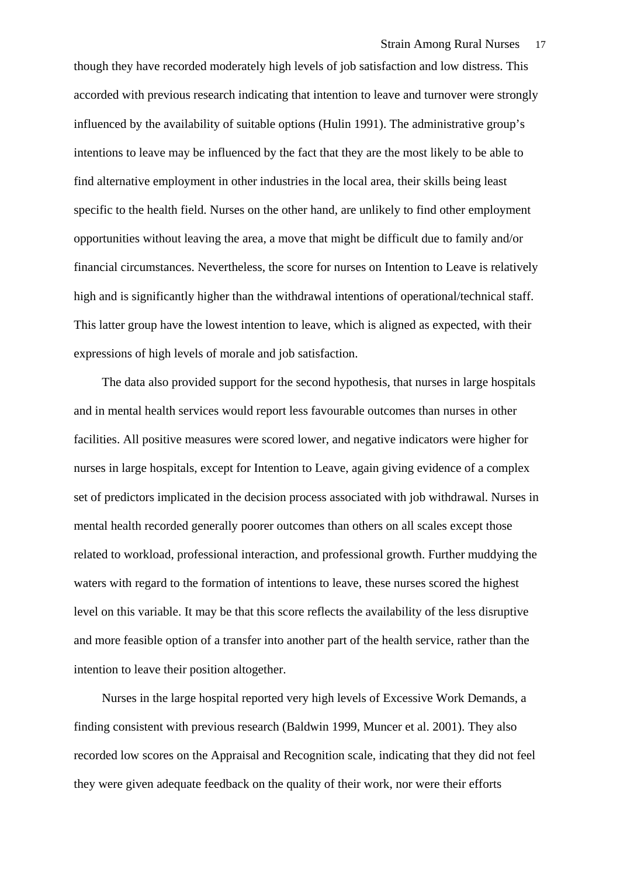though they have recorded moderately high levels of job satisfaction and low distress. This accorded with previous research indicating that intention to leave and turnover were strongly influenced by the availability of suitable options (Hulin 1991). The administrative group's intentions to leave may be influenced by the fact that they are the most likely to be able to find alternative employment in other industries in the local area, their skills being least specific to the health field. Nurses on the other hand, are unlikely to find other employment opportunities without leaving the area, a move that might be difficult due to family and/or financial circumstances. Nevertheless, the score for nurses on Intention to Leave is relatively high and is significantly higher than the withdrawal intentions of operational/technical staff. This latter group have the lowest intention to leave, which is aligned as expected, with their expressions of high levels of morale and job satisfaction.

The data also provided support for the second hypothesis, that nurses in large hospitals and in mental health services would report less favourable outcomes than nurses in other facilities. All positive measures were scored lower, and negative indicators were higher for nurses in large hospitals, except for Intention to Leave, again giving evidence of a complex set of predictors implicated in the decision process associated with job withdrawal. Nurses in mental health recorded generally poorer outcomes than others on all scales except those related to workload, professional interaction, and professional growth. Further muddying the waters with regard to the formation of intentions to leave, these nurses scored the highest level on this variable. It may be that this score reflects the availability of the less disruptive and more feasible option of a transfer into another part of the health service, rather than the intention to leave their position altogether.

Nurses in the large hospital reported very high levels of Excessive Work Demands, a finding consistent with previous research (Baldwin 1999, Muncer et al. 2001). They also recorded low scores on the Appraisal and Recognition scale, indicating that they did not feel they were given adequate feedback on the quality of their work, nor were their efforts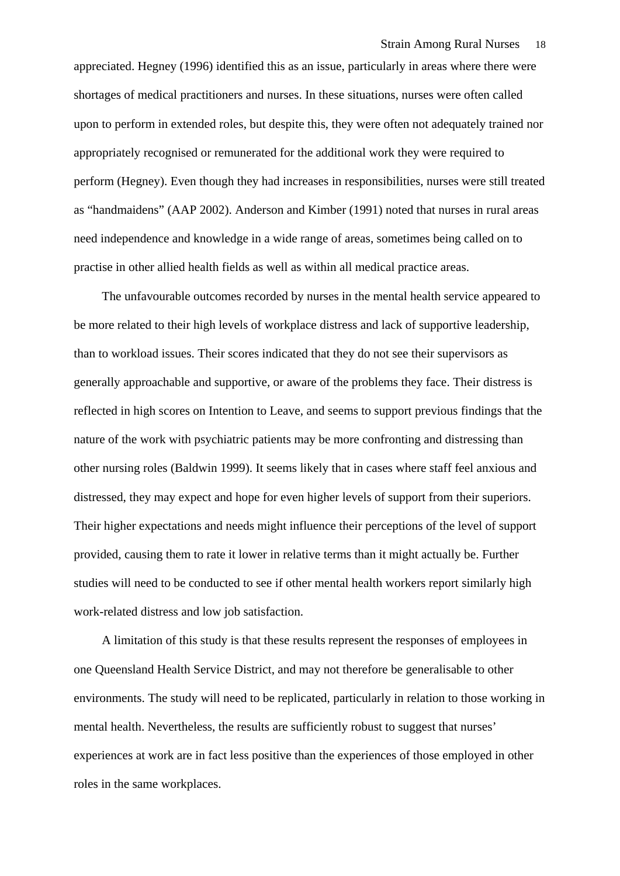appreciated. Hegney (1996) identified this as an issue, particularly in areas where there were shortages of medical practitioners and nurses. In these situations, nurses were often called upon to perform in extended roles, but despite this, they were often not adequately trained nor appropriately recognised or remunerated for the additional work they were required to perform (Hegney). Even though they had increases in responsibilities, nurses were still treated as "handmaidens" (AAP 2002). Anderson and Kimber (1991) noted that nurses in rural areas need independence and knowledge in a wide range of areas, sometimes being called on to practise in other allied health fields as well as within all medical practice areas.

The unfavourable outcomes recorded by nurses in the mental health service appeared to be more related to their high levels of workplace distress and lack of supportive leadership, than to workload issues. Their scores indicated that they do not see their supervisors as generally approachable and supportive, or aware of the problems they face. Their distress is reflected in high scores on Intention to Leave, and seems to support previous findings that the nature of the work with psychiatric patients may be more confronting and distressing than other nursing roles (Baldwin 1999). It seems likely that in cases where staff feel anxious and distressed, they may expect and hope for even higher levels of support from their superiors. Their higher expectations and needs might influence their perceptions of the level of support provided, causing them to rate it lower in relative terms than it might actually be. Further studies will need to be conducted to see if other mental health workers report similarly high work-related distress and low job satisfaction.

A limitation of this study is that these results represent the responses of employees in one Queensland Health Service District, and may not therefore be generalisable to other environments. The study will need to be replicated, particularly in relation to those working in mental health. Nevertheless, the results are sufficiently robust to suggest that nurses' experiences at work are in fact less positive than the experiences of those employed in other roles in the same workplaces.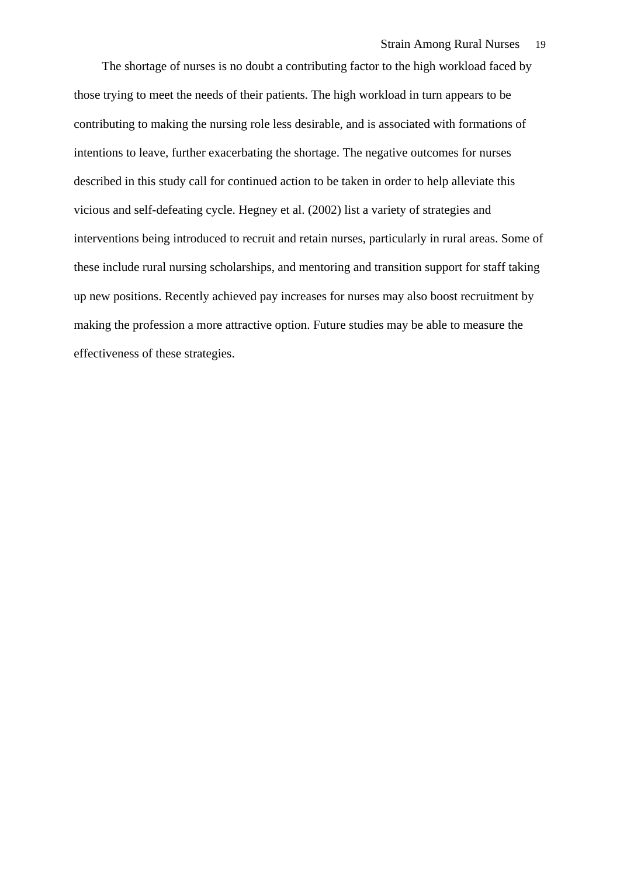The shortage of nurses is no doubt a contributing factor to the high workload faced by those trying to meet the needs of their patients. The high workload in turn appears to be contributing to making the nursing role less desirable, and is associated with formations of intentions to leave, further exacerbating the shortage. The negative outcomes for nurses described in this study call for continued action to be taken in order to help alleviate this vicious and self-defeating cycle. Hegney et al. (2002) list a variety of strategies and interventions being introduced to recruit and retain nurses, particularly in rural areas. Some of these include rural nursing scholarships, and mentoring and transition support for staff taking up new positions. Recently achieved pay increases for nurses may also boost recruitment by making the profession a more attractive option. Future studies may be able to measure the effectiveness of these strategies.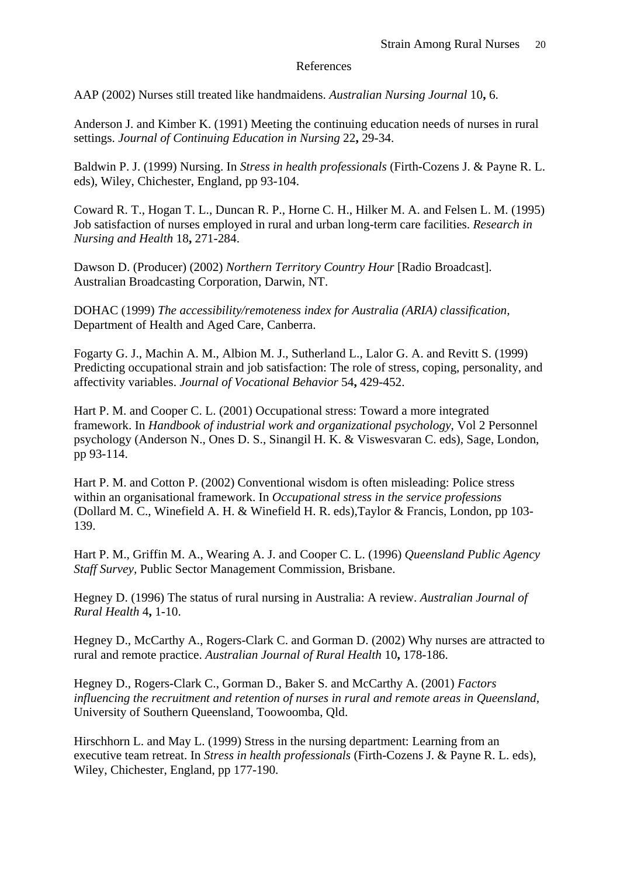## References

AAP (2002) Nurses still treated like handmaidens. *Australian Nursing Journal* 10**,** 6.

Anderson J. and Kimber K. (1991) Meeting the continuing education needs of nurses in rural settings. *Journal of Continuing Education in Nursing* 22**,** 29-34.

Baldwin P. J. (1999) Nursing. In *Stress in health professionals* (Firth-Cozens J. & Payne R. L. eds), Wiley, Chichester, England, pp 93-104.

Coward R. T., Hogan T. L., Duncan R. P., Horne C. H., Hilker M. A. and Felsen L. M. (1995) Job satisfaction of nurses employed in rural and urban long-term care facilities. *Research in Nursing and Health* 18**,** 271-284.

Dawson D. (Producer) (2002) *Northern Territory Country Hour* [Radio Broadcast]. Australian Broadcasting Corporation, Darwin, NT.

DOHAC (1999) *The accessibility/remoteness index for Australia (ARIA) classification,*  Department of Health and Aged Care, Canberra.

Fogarty G. J., Machin A. M., Albion M. J., Sutherland L., Lalor G. A. and Revitt S. (1999) Predicting occupational strain and job satisfaction: The role of stress, coping, personality, and affectivity variables. *Journal of Vocational Behavior* 54**,** 429-452.

Hart P. M. and Cooper C. L. (2001) Occupational stress: Toward a more integrated framework. In *Handbook of industrial work and organizational psychology*, Vol 2 Personnel psychology (Anderson N., Ones D. S., Sinangil H. K. & Viswesvaran C. eds), Sage, London, pp 93-114.

Hart P. M. and Cotton P. (2002) Conventional wisdom is often misleading: Police stress within an organisational framework. In *Occupational stress in the service professions* (Dollard M. C., Winefield A. H. & Winefield H. R. eds),Taylor & Francis, London, pp 103- 139.

Hart P. M., Griffin M. A., Wearing A. J. and Cooper C. L. (1996) *Queensland Public Agency Staff Survey,* Public Sector Management Commission, Brisbane.

Hegney D. (1996) The status of rural nursing in Australia: A review. *Australian Journal of Rural Health* 4**,** 1-10.

Hegney D., McCarthy A., Rogers-Clark C. and Gorman D. (2002) Why nurses are attracted to rural and remote practice. *Australian Journal of Rural Health* 10**,** 178-186.

Hegney D., Rogers-Clark C., Gorman D., Baker S. and McCarthy A. (2001) *Factors influencing the recruitment and retention of nurses in rural and remote areas in Queensland,*  University of Southern Queensland, Toowoomba, Qld.

Hirschhorn L. and May L. (1999) Stress in the nursing department: Learning from an executive team retreat. In *Stress in health professionals* (Firth-Cozens J. & Payne R. L. eds), Wiley, Chichester, England, pp 177-190.